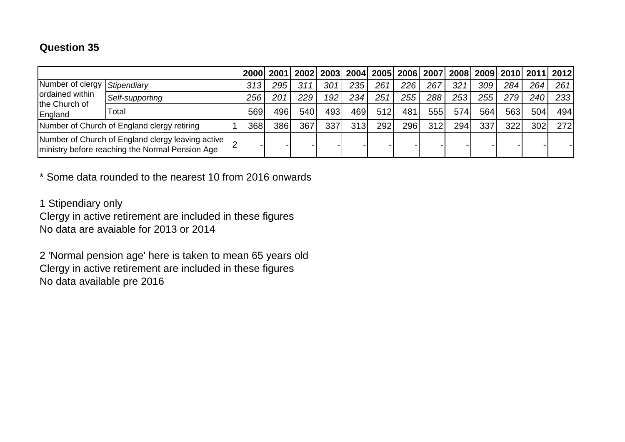## **Question 35**

|                                                                                                      |                 | 2000 | 2001 |     |     |      |     |            |     |      | 2002   2003   2004   2005   2006   2007   2008   2009   2010   2011   2012 |     |       |             |
|------------------------------------------------------------------------------------------------------|-----------------|------|------|-----|-----|------|-----|------------|-----|------|----------------------------------------------------------------------------|-----|-------|-------------|
| Number of clergy Stipendiary<br>ordained within<br>the Church of<br>England                          |                 | 313  | 295  | 311 | 301 | 235  | 261 | 226        | 267 | 321  | 309                                                                        | 284 | 2641  | 261         |
|                                                                                                      | Self-supporting | 256  | 201  | 229 | 192 | 234  | 251 | 255        | 288 | 253  | 255                                                                        | 279 | 240 I | 233 l       |
|                                                                                                      | Total           | 569  | 496  | 540 | 493 | 469l | 512 | 481        | 555 | 574  | 564                                                                        | 563 | 504   | 494         |
| Number of Church of England clergy retiring                                                          |                 | 368  | 3861 | 367 | 337 | 313l | 292 | <b>296</b> | 312 | 294. | 337                                                                        | 322 | 302   | <b>2721</b> |
| Number of Church of England clergy leaving active<br>ministry before reaching the Normal Pension Age |                 |      |      |     |     |      |     |            |     |      |                                                                            |     |       |             |

\* Some data rounded to the nearest 10 from 2016 onwards

1 Stipendiary only

Clergy in active retirement are included in these figures No data are avaiable for 2013 or 2014

2 'Normal pension age' here is taken to mean 65 years old Clergy in active retirement are included in these figures No data available pre 2016